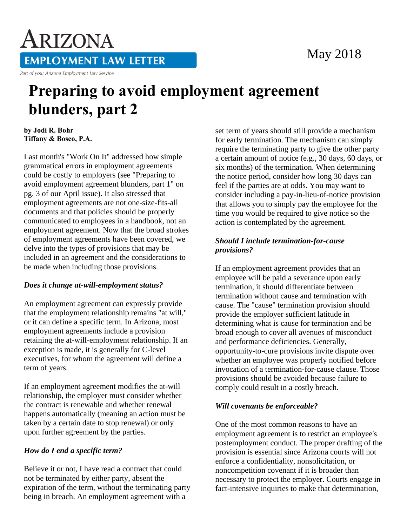# May 2018

ARIZONA **EMPLOYMENT LAW LETTER** Part of your Arizona Employment Law Service

# **Preparing to avoid employment agreement blunders, part 2**

**by Jodi R. Bohr Tiffany & Bosco, P.A.** 

Last month's "Work On It" addressed how simple grammatical errors in employment agreements could be costly to employers (see "Preparing to avoid employment agreement blunders, part 1" on pg. 3 of our April issue). It also stressed that employment agreements are not one-size-fits-all documents and that policies should be properly communicated to employees in a handbook, not an employment agreement. Now that the broad strokes of employment agreements have been covered, we delve into the types of provisions that may be included in an agreement and the considerations to be made when including those provisions.

#### *Does it change at-will-employment status?*

An employment agreement can expressly provide that the employment relationship remains "at will," or it can define a specific term. In Arizona, most employment agreements include a provision retaining the at-will-employment relationship. If an exception is made, it is generally for C-level executives, for whom the agreement will define a term of years.

If an employment agreement modifies the at-will relationship, the employer must consider whether the contract is renewable and whether renewal happens automatically (meaning an action must be taken by a certain date to stop renewal) or only upon further agreement by the parties.

## *How do I end a specific term?*

Believe it or not, I have read a contract that could not be terminated by either party, absent the expiration of the term, without the terminating party being in breach. An employment agreement with a

set term of years should still provide a mechanism for early termination. The mechanism can simply require the terminating party to give the other party a certain amount of notice (e.g., 30 days, 60 days, or six months) of the termination. When determining the notice period, consider how long 30 days can feel if the parties are at odds. You may want to consider including a pay-in-lieu-of-notice provision that allows you to simply pay the employee for the time you would be required to give notice so the action is contemplated by the agreement.

#### *Should I include termination-for-cause provisions?*

If an employment agreement provides that an employee will be paid a severance upon early termination, it should differentiate between termination without cause and termination with cause. The "cause" termination provision should provide the employer sufficient latitude in determining what is cause for termination and be broad enough to cover all avenues of misconduct and performance deficiencies. Generally, opportunity-to-cure provisions invite dispute over whether an employee was properly notified before invocation of a termination-for-cause clause. Those provisions should be avoided because failure to comply could result in a costly breach.

### *Will covenants be enforceable?*

One of the most common reasons to have an employment agreement is to restrict an employee's postemployment conduct. The proper drafting of the provision is essential since Arizona courts will not enforce a confidentiality, nonsolicitation, or noncompetition covenant if it is broader than necessary to protect the employer. Courts engage in fact-intensive inquiries to make that determination,